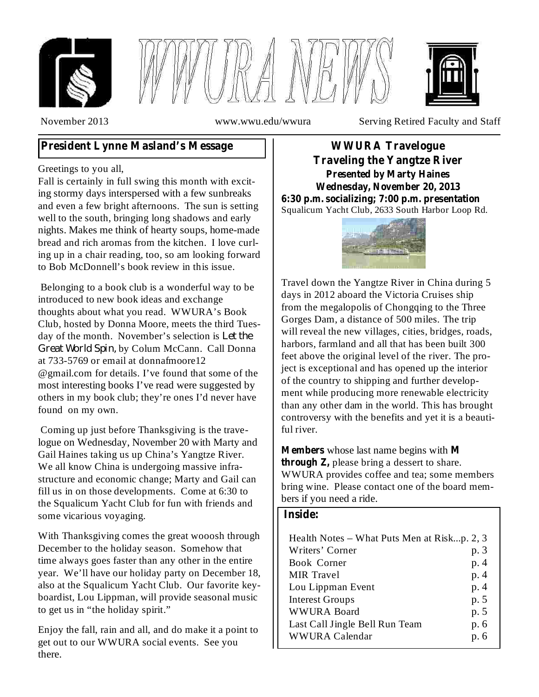





November 2013 www.wwu.edu/wwura Serving Retired Faculty and Staff

# **President Lynne Masland's Message WWURA Travelogue**

Greetings to you all,

Fall is certainly in full swing this month with exciting stormy days interspersed with a few sunbreaks and even a few bright afternoons. The sun is setting well to the south, bringing long shadows and early nights. Makes me think of hearty soups, home-made bread and rich aromas from the kitchen. I love curling up in a chair reading, too, so am looking forward to Bob McDonnell's book review in this issue.

Belonging to a book club is a wonderful way to be introduced to new book ideas and exchange thoughts about what you read. WWURA's Book Club, hosted by Donna Moore, meets the third Tuesday of the month. November's selection is *Let the* Great World Spin, by Colum McCann. Call Donna at 733-5769 or email at donnafmoore12 @gmail.com for details. I've found that some of the most interesting books I've read were suggested by others in my book club; they're ones I'd never have found on my own.

Coming up just before Thanksgiving is the travelogue on Wednesday, November 20 with Marty and Gail Haines taking us up China's Yangtze River. We all know China is undergoing massive infrastructure and economic change; Marty and Gail can fill us in on those developments. Come at 6:30 to the Squalicum Yacht Club for fun with friends and some vicarious voyaging.

With Thanksgiving comes the great wooosh through December to the holiday season. Somehow that time always goes faster than any other in the entire year. We'll have our holiday party on December 18, also at the Squalicum Yacht Club. Our favorite keyboardist, Lou Lippman, will provide seasonal music to get us in "the holiday spirit."

Enjoy the fall, rain and all, and do make it a point to get out to our WWURA social events. See you there.

Squalicum Yacht Club, 2633 South Harbor Loop Rd. **Traveling the Yangtze River Presented by Marty Haines Wednesday, November 20, 2013 6:30 p.m. socializing; 7:00 p.m. presentation**



Travel down the Yangtze River in China during 5 days in 2012 aboard the Victoria Cruises ship from the megalopolis of Chongqing to the Three Gorges Dam, a distance of 500 miles. The trip will reveal the new villages, cities, bridges, roads, harbors, farmland and all that has been built 300 feet above the original level of the river. The project is exceptional and has opened up the interior of the country to shipping and further development while producing more renewable electricity than any other dam in the world. This has brought controversy with the benefits and yet it is a beautiful river.

**Members** whose last name begins with M **through Z,** please bring a dessert to share. WWURA provides coffee and tea; some members bring wine. Please contact one of the board members if you need a ride.

## **Inside:**

| Health Notes – What Puts Men at Riskp. 2, 3 |      |
|---------------------------------------------|------|
| Writers' Corner                             | p. 3 |
| Book Corner                                 | p. 4 |
| <b>MIR</b> Travel                           | p. 4 |
| Lou Lippman Event                           | p. 4 |
| <b>Interest Groups</b>                      | p. 5 |
| <b>WWURA Board</b>                          | p. 5 |
| Last Call Jingle Bell Run Team              | p. 6 |
| WWURA Calendar                              | p. 6 |
|                                             |      |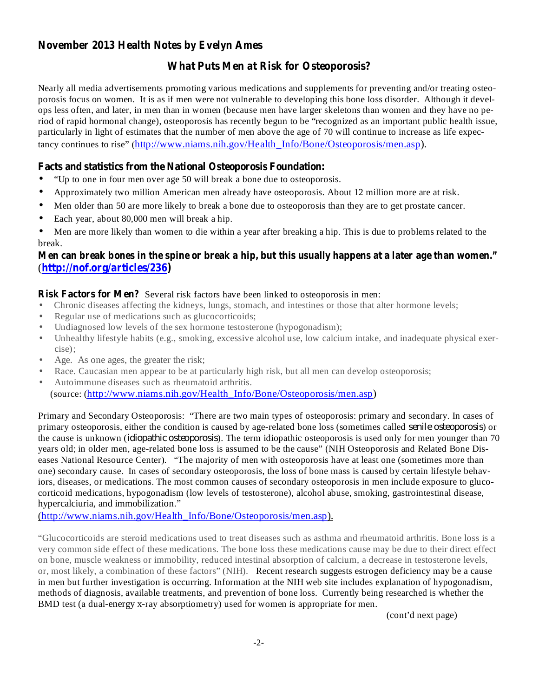# **November 2013 Health Notes by Evelyn Ames**

## **What Puts Men at Risk for Osteoporosis?**

Nearly all media advertisements promoting various medications and supplements for preventing and/or treating osteoporosis focus on women. It is as if men were not vulnerable to developing this bone loss disorder. Although it develops less often, and later, in men than in women (because men have larger skeletons than women and they have no period of rapid hormonal change), osteoporosis has recently begun to be "recognized as an important public health issue, particularly in light of estimates that the number of men above the age of 70 will continue to increase as life expectancy continues to rise" (http://www.niams.nih.gov/Health\_Info/Bone/Osteoporosis/men.asp).

### **Facts and statistics from the National Osteoporosis Foundation:**

- "Up to one in four men over age 50 will break a bone due to osteoporosis. •
- Approximately two million American men already have osteoporosis. About 12 million more are at risk. •
- Men older than 50 are more likely to break a bone due to osteoporosis than they are to get prostate cancer. •
- Each year, about 80,000 men will break a hip. •

Men are more likely than women to die within a year after breaking a hip. This is due to problems related to the break. •

#### ( **http://nof.org/articles/236)** Men can break bones in the spine or break a hip, but this usually happens at a later age than women."

#### Risk Factors for Men? Several risk factors have been linked to osteoporosis in men:

- Chronic diseases affecting the kidneys, lungs, stomach, and intestines or those that alter hormone levels; •
- Regular use of medications such as glucocorticoids; •
- Undiagnosed low levels of the sex hormone testosterone (hypogonadism); •
- Unhealthy lifestyle habits (e.g., smoking, excessive alcohol use, low calcium intake, and inadequate physical exercise); •
- Age. As one ages, the greater the risk; •
- Race. Caucasian men appear to be at particularly high risk, but all men can develop osteoporosis; •
- Autoimmune diseases such as rheumatoid arthritis. (source: (http://www.niams.nih.gov/Health\_Info/Bone/Osteoporosis/men.asp) •

Primary and Secondary Osteoporosis: "There are two main types of osteoporosis: primary and secondary. In cases of primary osteoporosis, either the condition is caused by age-related bone loss (sometimes called *senile osteoporosis*) or the cause is unknown *(idiopathic osteoporosis)*. The term idiopathic osteoporosis is used only for men younger than 70 years old; in older men, age-related bone loss is assumed to be the cause" (NIH Osteoporosis and Related Bone Diseases National Resource Center). "The majority of men with osteoporosis have at least one (sometimes more than one) secondary cause. In cases of secondary osteoporosis, the loss of bone mass is caused by certain lifestyle behaviors, diseases, or medications. The most common causes of secondary osteoporosis in men include exposure to glucocorticoid medications, hypogonadism (low levels of testosterone), alcohol abuse, smoking, gastrointestinal disease, hypercalciuria, and immobilization."

(http://www.niams.nih.gov/Health\_Info/Bone/Osteoporosis/men.asp).

"Glucocorticoids are steroid medications used to treat diseases such as asthma and rheumatoid arthritis. Bone loss is a very common side effect of these medications. The bone loss these medications cause may be due to their direct effect on bone, muscle weakness or immobility, reduced intestinal absorption of calcium, a decrease in testosterone levels, or, most likely, a combination of these factors" (NIH). Recent research suggests estrogen deficiency may be a cause in men but further investigation is occurring. Information at the NIH web site includes explanation of hypogonadism, methods of diagnosis, available treatments, and prevention of bone loss. Currently being researched is whether the BMD test (a dual-energy x-ray absorptiometry) used for women is appropriate for men.

(cont'd next page)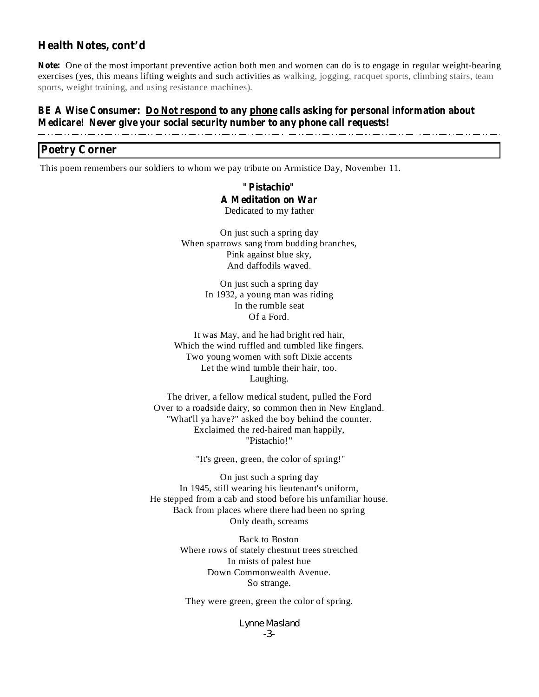### **Health Notes, cont'd**

**Note:** One of the most important preventive action both men and women can do is to engage in regular weight-bearing exercises (yes, this means lifting weights and such activities as walking, jogging, racquet sports, climbing stairs, team sports, weight training, and using resistance machines).

#### **BE A Wise Consumer: Do Not respond to any phone calls asking for personal information about Medicare! Never give your social security number to any phone call requests!**

### **Poetry Corner**

This poem remembers our soldiers to whom we pay tribute on Armistice Day, November 11.

**"Pistachio" A Meditation on War** Dedicated to my father

On just such a spring day When sparrows sang from budding branches, Pink against blue sky, And daffodils waved.

> On just such a spring day In 1932, a young man was riding In the rumble seat Of a Ford.

It was May, and he had bright red hair, Which the wind ruffled and tumbled like fingers. Two young women with soft Dixie accents Let the wind tumble their hair, too. Laughing.

The driver, a fellow medical student, pulled the Ford Over to a roadside dairy, so common then in New England. "What'll ya have?" asked the boy behind the counter. Exclaimed the red-haired man happily, "Pistachio!"

"It's green, green, the color of spring!"

On just such a spring day In 1945, still wearing his lieutenant's uniform, He stepped from a cab and stood before his unfamiliar house. Back from places where there had been no spring Only death, screams

> Back to Boston Where rows of stately chestnut trees stretched In mists of palest hue Down Commonwealth Avenue. So strange.

They were green, green the color of spring.

*Lynne Masland -3-*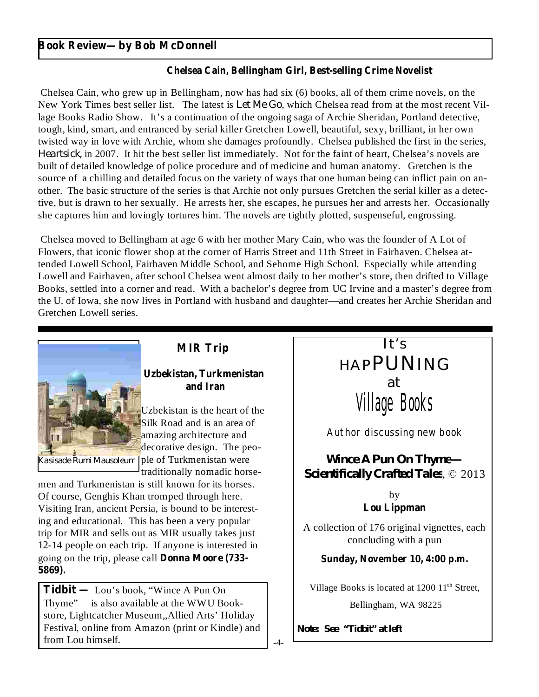# **Book Review—by Bob McDonnell**

#### **Chelsea Cain, Bellingham Girl, Best-selling Crime Novelist**

Chelsea Cain, who grew up in Bellingham, now has had six (6) books, all of them crime novels, on the New York Times best seller list. The latest is Let Me Go, which Chelsea read from at the most recent Village Books Radio Show. It's a continuation of the ongoing saga of Archie Sheridan, Portland detective, tough, kind, smart, and entranced by serial killer Gretchen Lowell, beautiful, sexy, brilliant, in her own twisted way in love with Archie, whom she damages profoundly. Chelsea published the first in the series, Heartsick, in 2007. It hit the best seller list immediately. Not for the faint of heart, Chelsea's novels are built of detailed knowledge of police procedure and of medicine and human anatomy. Gretchen is the source of a chilling and detailed focus on the variety of ways that one human being can inflict pain on another. The basic structure of the series is that Archie not only pursues Gretchen the serial killer as a detective, but is drawn to her sexually. He arrests her, she escapes, he pursues her and arrests her. Occasionally she captures him and lovingly tortures him. The novels are tightly plotted, suspenseful, engrossing.

Chelsea moved to Bellingham at age 6 with her mother Mary Cain, who was the founder of A Lot of Flowers, that iconic flower shop at the corner of Harris Street and 11th Street in Fairhaven. Chelsea attended Lowell School, Fairhaven Middle School, and Sehome High School. Especially while attending Lowell and Fairhaven, after school Chelsea went almost daily to her mother's store, then drifted to Village Books, settled into a corner and read. With a bachelor's degree from UC Irvine and a master's degree from the U. of Iowa, she now lives in Portland with husband and daughter—and creates her Archie Sheridan and Gretchen Lowell series.



**MIR Trip**

**Uzbekistan, Turkmenistan and Iran**

Uzbekistan is the heart of the Silk Road and is an area of amazing architecture and decorative design. The people of Turkmenistan were *Kasisade Rumi Mausoleum* traditionally nomadic horse-

men and Turkmenistan is still known for its horses. Of course, Genghis Khan tromped through here. Visiting Iran, ancient Persia, is bound to be interesting and educational. This has been a very popular trip for MIR and sells out as MIR usually takes just 12-14 people on each trip. If anyone is interested in going on the trip, please call **Donna Moore (733- 5869).**

Tidbit — Lou's book, "Wince A Pun On Thyme" is also available at the WWU Bookstore, Lightcatcher Museum,,Allied Arts' Holiday Festival, online from Amazon (print or Kindle) and from Lou himself.



**Scientifically Crafted Tales**, © 2013 *Wince A Pun On Thyme—*

> by **Lou Lippman**

A collection of 176 original vignettes, each concluding with a pun

**Sunday, November 10, 4:00 p.m.**

Village Books is located at 1200 11<sup>th</sup> Street,

Bellingham, WA 98225

*Note: See "Tidbit" at left*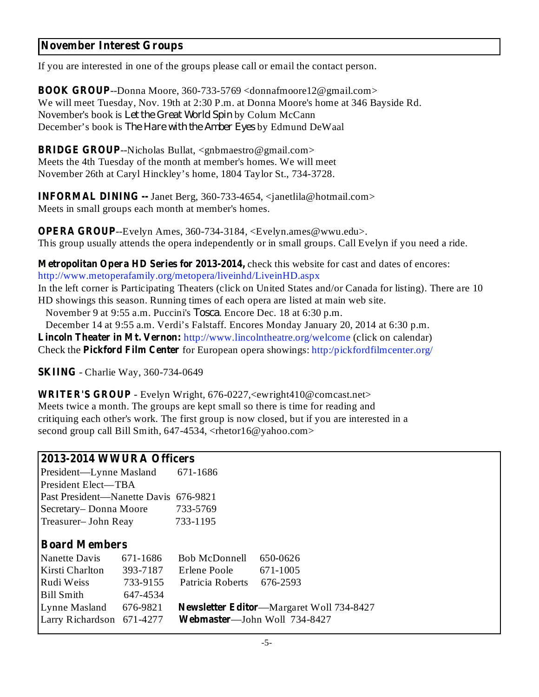# **November Interest Groups**

If you are interested in one of the groups please call or email the contact person.

**BOOK GROUP** --Donna Moore, 360-733-5769 <donnafmoore12@gmail.com> We will meet Tuesday, Nov. 19th at 2:30 P.m. at Donna Moore's home at 346 Bayside Rd. November's book is Let the Great World Spin by Colum McCann December's book is *The Hare with the Amber Eyes* by Edmund DeWaal

**BRIDGE GROUP** --Nicholas Bullat, <gnbmaestro@gmail.com> Meets the 4th Tuesday of the month at member's homes. We will meet November 26th at Caryl Hinckley's home, 1804 Taylor St., 734-3728.

**INFORMAL DINING --** Janet Berg, 360-733-4654, <janetlila@hotmail.com> Meets in small groups each month at member's homes.

**OPERA GROUP**--Evelyn Ames, 360-734-3184, <Evelyn.ames@wwu.edu>. This group usually attends the opera independently or in small groups. Call Evelyn if you need a ride.

**Metropolitan Opera HD Series for 2013-2014,** check this website for cast and dates of encores: http://www.metoperafamily.org/metopera/liveinhd/LiveinHD.aspx

In the left corner is Participating Theaters (click on United States and/or Canada for listing). There are 10 HD showings this season. Running times of each opera are listed at main web site.

**Lincoln Theater in Mt. Vernon:** http://www.lincolntheatre.org/welcome (click on calendar) **Check the Pickford Film Center** for European opera showings: http:/pickfordfilmcenter.org/ November 9 at 9:55 a.m. Puccini's *Tosca*. Encore Dec. 18 at 6:30 p.m. December 14 at 9:55 a.m. Verdi's Falstaff. Encores Monday January 20, 2014 at 6:30 p.m.

**SKIING** - Charlie Way, 360-734-0649

**WRITER'S GROUP** - Evelyn Wright, 676-0227,<ewright410@comcast.net> Meets twice a month. The groups are kept small so there is time for reading and critiquing each other's work. The first group is now closed, but if you are interested in a second group call Bill Smith, 647-4534, <rhetor16@yahoo.com>

## **2013-2014 WWURA Officers**

| President—Lynne Masland<br>President Elect—TBA |          | 671-1686                                        |          |  |
|------------------------------------------------|----------|-------------------------------------------------|----------|--|
| Past President—Nanette Davis 676-9821          |          |                                                 |          |  |
| Secretary–Donna Moore                          |          | 733-5769                                        |          |  |
| Treasurer- John Reay                           |          | 733-1195                                        |          |  |
| <b>Board Members</b>                           |          |                                                 |          |  |
| Nanette Davis                                  | 671-1686 | <b>Bob McDonnell</b>                            | 650-0626 |  |
| Kirsti Charlton                                | 393-7187 | Erlene Poole                                    | 671-1005 |  |
| Rudi Weiss                                     | 733-9155 | Patricia Roberts                                | 676-2593 |  |
| Bill Smith                                     | 647-4534 |                                                 |          |  |
| Lynne Masland                                  | 676-9821 | <b>Newsletter Editor—Margaret Woll 734-8427</b> |          |  |
| Larry Richardson 671-4277                      |          | Webmaster-John Woll 734-8427                    |          |  |